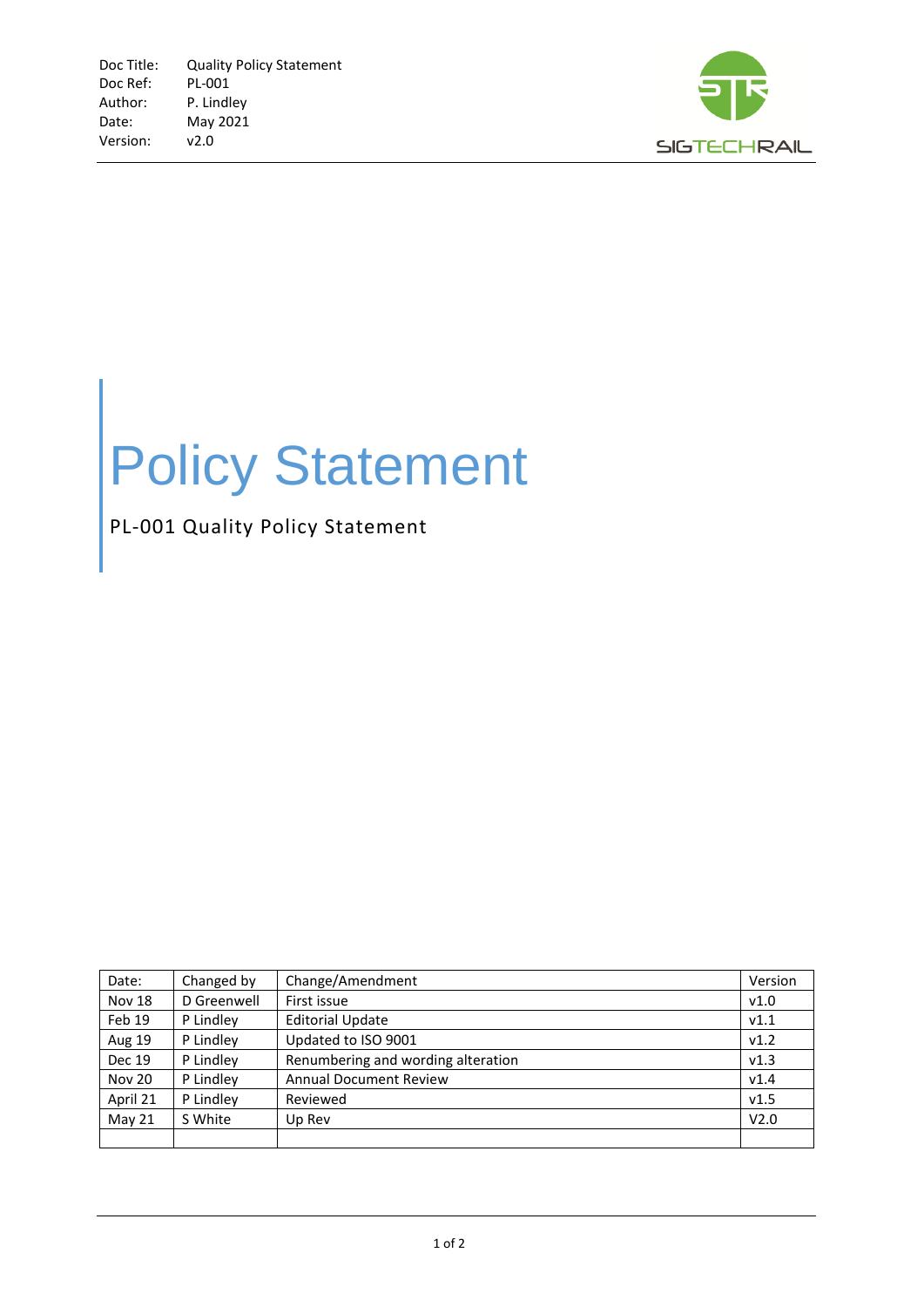

## Policy Statement

PL-001 Quality Policy Statement

| Date:         | Changed by  | Change/Amendment                   | Version          |
|---------------|-------------|------------------------------------|------------------|
| <b>Nov 18</b> | D Greenwell | First issue                        | v1.0             |
| Feb 19        | P Lindley   | <b>Editorial Update</b>            | V1.1             |
| <b>Aug 19</b> | P Lindley   | Updated to ISO 9001                | v1.2             |
| <b>Dec 19</b> | P Lindley   | Renumbering and wording alteration | v1.3             |
| <b>Nov 20</b> | P Lindley   | <b>Annual Document Review</b>      | V1.4             |
| April 21      | P Lindley   | Reviewed                           | v1.5             |
| May 21        | S White     | Up Rev                             | V <sub>2.0</sub> |
|               |             |                                    |                  |